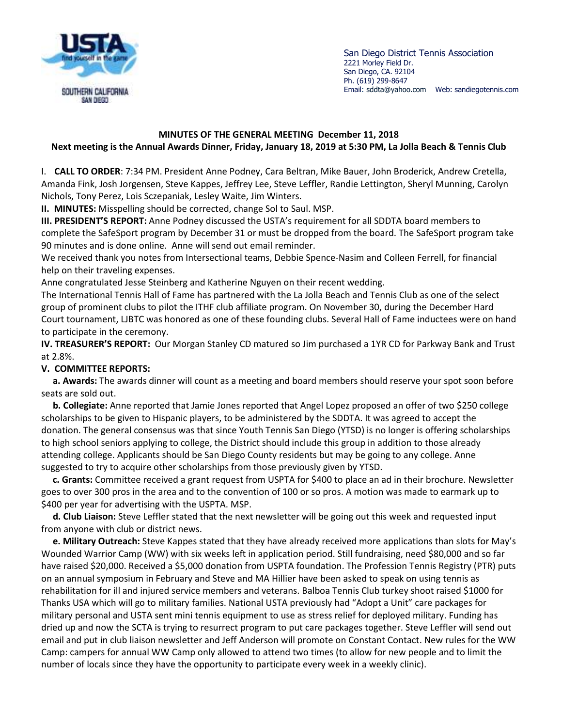

San Diego District Tennis Association 2221 Morley Field Dr. San Diego, CA. 92104 Ph. (619) 299-8647 Email: sddta@yahoo.com Web: sandiegotennis.com

## **MINUTES OF THE GENERAL MEETING December 11, 2018 Next meeting is the Annual Awards Dinner, Friday, January 18, 2019 at 5:30 PM, La Jolla Beach & Tennis Club**

I. **CALL TO ORDER**: 7:34 PM. President Anne Podney, Cara Beltran, Mike Bauer, John Broderick, Andrew Cretella, Amanda Fink, Josh Jorgensen, Steve Kappes, Jeffrey Lee, Steve Leffler, Randie Lettington, Sheryl Munning, Carolyn Nichols, Tony Perez, Lois Sczepaniak, Lesley Waite, Jim Winters.

**II. MINUTES:** Misspelling should be corrected, change Sol to Saul. MSP.

**III. PRESIDENT'S REPORT:** Anne Podney discussed the USTA's requirement for all SDDTA board members to complete the SafeSport program by December 31 or must be dropped from the board. The SafeSport program take 90 minutes and is done online. Anne will send out email reminder.

We received thank you notes from Intersectional teams, Debbie Spence-Nasim and Colleen Ferrell, for financial help on their traveling expenses.

Anne congratulated Jesse Steinberg and Katherine Nguyen on their recent wedding.

The International Tennis Hall of Fame has partnered with the La Jolla Beach and Tennis Club as one of the select group of prominent clubs to pilot the ITHF club affiliate program. On November 30, during the December Hard Court tournament, LJBTC was honored as one of these founding clubs. Several Hall of Fame inductees were on hand to participate in the ceremony.

**IV. TREASURER'S REPORT:** Our Morgan Stanley CD matured so Jim purchased a 1YR CD for Parkway Bank and Trust at 2.8%.

## **V. COMMITTEE REPORTS:**

 **a. Awards:** The awards dinner will count as a meeting and board members should reserve your spot soon before seats are sold out.

 **b. Collegiate:** Anne reported that Jamie Jones reported that Angel Lopez proposed an offer of two \$250 college scholarships to be given to Hispanic players, to be administered by the SDDTA. It was agreed to accept the donation. The general consensus was that since Youth Tennis San Diego (YTSD) is no longer is offering scholarships to high school seniors applying to college, the District should include this group in addition to those already attending college. Applicants should be San Diego County residents but may be going to any college. Anne suggested to try to acquire other scholarships from those previously given by YTSD.

 **c. Grants:** Committee received a grant request from USPTA for \$400 to place an ad in their brochure. Newsletter goes to over 300 pros in the area and to the convention of 100 or so pros. A motion was made to earmark up to \$400 per year for advertising with the USPTA. MSP.

 **d. Club Liaison:** Steve Leffler stated that the next newsletter will be going out this week and requested input from anyone with club or district news.

 **e. Military Outreach:** Steve Kappes stated that they have already received more applications than slots for May's Wounded Warrior Camp (WW) with six weeks left in application period. Still fundraising, need \$80,000 and so far have raised \$20,000. Received a \$5,000 donation from USPTA foundation. The Profession Tennis Registry (PTR) puts on an annual symposium in February and Steve and MA Hillier have been asked to speak on using tennis as rehabilitation for ill and injured service members and veterans. Balboa Tennis Club turkey shoot raised \$1000 for Thanks USA which will go to military families. National USTA previously had "Adopt a Unit" care packages for military personal and USTA sent mini tennis equipment to use as stress relief for deployed military. Funding has dried up and now the SCTA is trying to resurrect program to put care packages together. Steve Leffler will send out email and put in club liaison newsletter and Jeff Anderson will promote on Constant Contact. New rules for the WW Camp: campers for annual WW Camp only allowed to attend two times (to allow for new people and to limit the number of locals since they have the opportunity to participate every week in a weekly clinic).